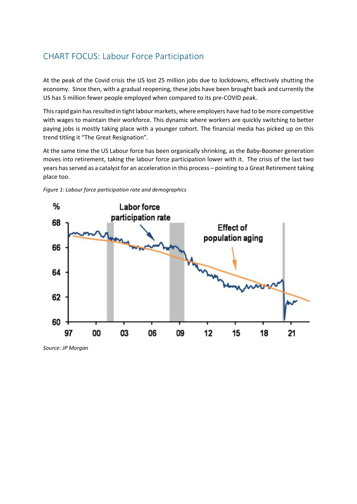## CHART FOCUS: Labour Force Participation

At the peak of the Covid crisis the US lost 25 million jobs due to lockdowns, effectively shutting the economy. Since then, with a gradual reopening, these jobs have been brought back and currently the US has 5 million fewer people employed when compared to its pre-COVID peak.

This rapid gain has resulted in tight labour markets, where employers have had to be more competitive with wages to maintain their workforce. This dynamic where workers are quickly switching to better paying jobs is mostly taking place with a younger cohort. The financial media has picked up on this trend titling it "The Great Resignation".

At the same time the US Labour force has been organically shrinking, as the Baby-Boomer generation moves into retirement, taking the labour force participation lower with it. The crisis of the last two years has served as a catalyst for an acceleration in this process – pointing to a Great Retirement taking place too.





*Source: JP Morgan*